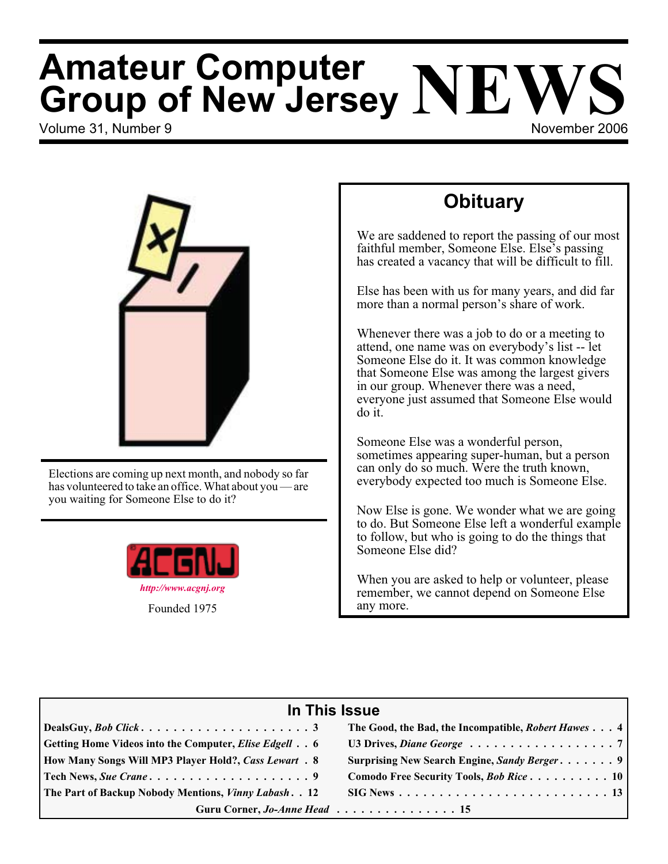# Volume 31, Number 9 November 2006 **Amateur Computer Group of New Jersey NEWS**

# **Obituary**

We are saddened to report the passing of our most faithful member, Someone Else. Else's passing has created a vacancy that will be difficult to fill.

Else has been with us for many years, and did far more than a normal person's share of work.

Whenever there was a job to do or a meeting to attend, one name was on everybody's list -- let Someone Else do it. It was common knowledge that Someone Else was among the largest givers in our group. Whenever there was a need, everyone just assumed that Someone Else would do it.

Someone Else was a wonderful person, sometimes appearing super-human, but a person can only do so much. Were the truth known, everybody expected too much is Someone Else.

Now Else is gone. We wonder what we are going to do. But Someone Else left a wonderful example to follow, but who is going to do the things that Someone Else did?

When you are asked to help or volunteer, please remember, we cannot depend on Someone Else any more.

| In This Issue                                                                |                                                                            |  |  |  |
|------------------------------------------------------------------------------|----------------------------------------------------------------------------|--|--|--|
|                                                                              | The Good, the Bad, the Incompatible, <i>Robert Hawes</i> 4                 |  |  |  |
| Getting Home Videos into the Computer, <i>Elise Edgell</i> 6                 | U3 Drives, Diane George $\ldots \ldots \ldots \ldots \ldots \ldots \ldots$ |  |  |  |
| How Many Songs Will MP3 Player Hold?, Cass Lewart . 8                        | Surprising New Search Engine, Sandy Berger 9                               |  |  |  |
|                                                                              | Comodo Free Security Tools, <i>Bob Rice</i> 10                             |  |  |  |
| The Part of Backup Nobody Mentions, <i>Vinny Labash.</i> . 12                |                                                                            |  |  |  |
| Guru Corner, Jo-Anne Head 15<br>the control of the control of the control of |                                                                            |  |  |  |

Elections are coming up next month, and nobody so far has volunteered to take an office. What about you — are you waiting for Someone Else to do it?



Founded 1975

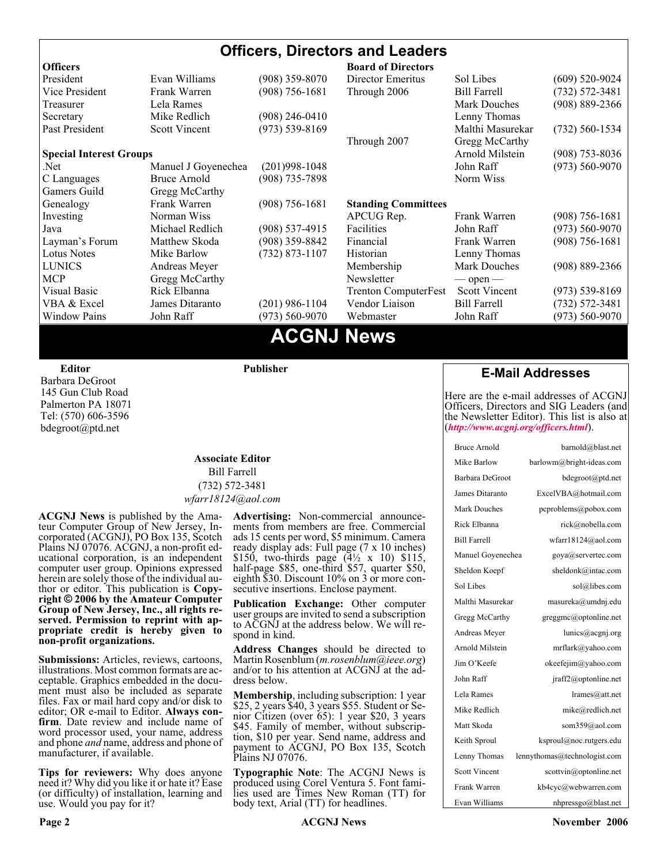#### **Officers, Directors and Leaders Officers Board of Directors**<br> **President** Evan Williams (908) 359-8070 Director Emeritus (908) 359-8070 Director Emeritus Sol Libes (609) 520-9024 Vice President Frank Warren (908) 756-1681 Through 2006 Bill Farrell (732) 572-3481 Treasurer Lela Rames Lela Annes (908) 889-2366 Secretary Mike Redlich (908) 246-0410 Lenny Thomas Past President Scott Vincent (973) 539-8169 Malthi Masurekar (732) 560-1534 Through 2007 Gregg McCarthy **Special Interest Groups Arnold Milstein** (908) 753-8036 Net 1973) Manuel J Goyenechea (201)998-1048<br>C Languages Bruce Arnold (908) 735-7898 100 Norm Wiss C Languages Bruce Arnold (908) 735-7898 Gamers Guild Gregg McCarthy Genealogy Frank Warren (908) 756-1681 **Standing Committees** Investing Norman Wiss APCUG Rep. Frank Warren (908) 756-1681<br>Java Michael Redlich (908) 537-4915 Facilities John Raff (973) 560-9070 Java Michael Redlich (908) 537-4915 Facilities John Raff (973) 560-9070 Layman's Forum Matthew Skoda (908) 359-8842 Financial Frank Warren (908) 756-1681 Lotus Notes Mike Barlow (732) 873-1107 Historian Lenny Thomas LUNICS Andreas Meyer Membership Mark Douches (908) 889-2366 MCP Gregg McCarthy Newsletter — open — Visual Basic Rick Elbanna Trenton ComputerFest Scott Vincent (973) 539-8169 VBA & Excel James Ditaranto (201) 986-1104 Vendor Liaison Bill Farrell (732) 572-3481 Window Pains John Raff (973) 560-9070 Webmaster John Raff (973) 560-9070

# **ACGNJ News**

**Editor**

Barbara DeGroot 145 Gun Club Road Palmerton PA 18071 Tel: (570) 606-3596 bdegroot@ptd.net

#### **Associate Editor** Bill Farrell (732) 572-3481 *wfarr18124@aol.com*

**Publisher**

**ACGNJ News** is published by the Ama- teur Computer Group of New Jersey, In- corporated (ACGNJ), PO Box 135, Scotch Plains NJ 07076. ACGNJ, a non-profit ed-<br>ucational corporation, is an independent computer user group. Opinions expressed<br>herein are solely those of the individual author or editor. This publication is **Copy-**<br>right © 2006 by the Amateur Computer<br>Group of New Jersey, Inc., all rights re-**Group of New Jersey, Inc., all rights re- served. Permission to reprint with ap- propriate credit is hereby given to non-profit organizations.**

**Submissions:** Articles, reviews, cartoons, illustrations. Most common formats are acceptable. Graphics embedded in the docu-<br>ment must also be included as separate files. Fax or mail hard copy and/or disk to editor: OR e-mail to Editor. **Always con**firm. Date review and include name of word processor used, your name, address and phone *and* name, address and phone of manufacturer, if available.

**Tips for reviewers:** Why does anyone need it? Why did you like it or hate it? Ease (or difficulty) of installation, learning and use. Would you pay for it?

**Advertising:** Non-commercial announce- ments from members are free. Commercial ads 15 cents per word, \$5 minimum. Camera ready display ads: Full page (7 x 10 inches) \$150, two-thirds page (4½ x 10) \$115, half-page \$85, one-third \$57, quarter \$50, eighth \$30. Discount 10% on 3 or more con- secutive insertions. Enclose payment.

**Publication Exchange:** Other computer user groups are invited to send a subscription to ACGNJ at the address below. We will re- spond in kind.

**Address Changes** should be directed to Martin Rosenblum (*m.rosenblum@ieee.org*) and/or to his attention at ACGNJ at the ad- dress below.

**Membership**, including subscription: 1 year \$25, 2 years \$40, 3 years \$55. Student or Senior Citizen (over 65): 1 year \$20, 3 years \$45. Family of member, without subscription, \$10 per year. Send name, address and payment to ACGNJ, PO Box 135, Scotch Plains NJ 07076.

**Typographic Note**: The ACGNJ News is produced using Corel Ventura 5. Font fami- lies used are Times New Roman (TT) for body text, Arial (TT) for headlines.

#### **E-Mail Addresses**

Here are the e-mail addresses of ACGNJ Officers, Directors and SIG Leaders (and the Newsletter Editor). This list is also at (*<http://www.acgnj.org/officers.html>*).

| <b>Bruce Arnold</b>  | barnold@blast.net            |
|----------------------|------------------------------|
| Mike Barlow          | barlowm@bright-ideas.com     |
| Barbara DeGroot      | bdegroot@ptd.net             |
| James Ditaranto      | ExcelVBA@hotmail.com         |
| <b>Mark Douches</b>  | pcproblems@pobox.com         |
| Rick Elbanna         | rick@nobella.com             |
| <b>Bill Farrell</b>  | wfarr18124@aol.com           |
| Manuel Goyenechea    | goya@servertec.com           |
| Sheldon Koepf        | sheldonk@intac.com           |
| Sol Libes            | sol@libes.com                |
| Malthi Masurekar     | masureka@umdnj.edu           |
| Gregg McCarthy       | greggmc@optonline.net        |
| Andreas Meyer        | lunics@acgnj.org             |
| Arnold Milstein      | mrflark@yahoo.com            |
| Jim O'Keefe          | okeefejim@yahoo.com          |
| John Raff            | jraff2@optonline.net         |
| Lela Rames           | lrames@att.net               |
| Mike Redlich         | mike@redlich.net             |
| Matt Skoda           | som359@aol.com               |
| Keith Sproul         | ksproul@noc.rutgers.edu      |
| Lenny Thomas         | lennythomas@technologist.com |
| <b>Scott Vincent</b> | scottvin@optonline.net       |
| Frank Warren         | kb4cyc@webwarren.com         |
| Evan Williams        | nhpressgo@blast.net          |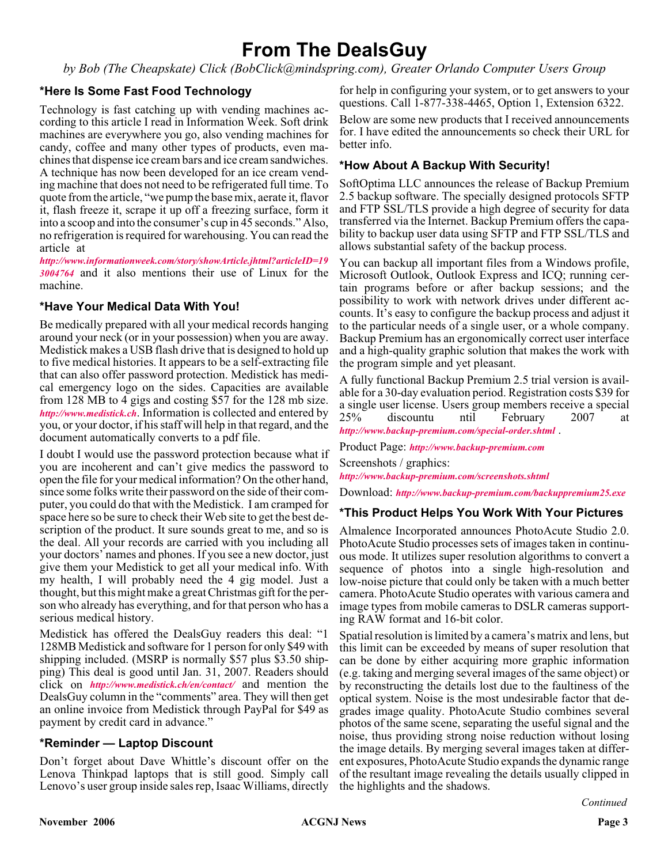# **From The DealsGuy**

*by Bob (The Cheapskate) Click (BobClick@mindspring.com), Greater Orlando Computer Users Group*

#### **\*Here Is Some Fast Food Technology**

Technology is fast catching up with vending machines according to this article I read in Information Week. Soft drink machines are everywhere you go, also vending machines for candy, coffee and many other types of products, even machines that dispense ice cream bars and ice cream sandwiches. A technique has now been developed for an ice cream vending machine that does not need to be refrigerated full time. To quote from the article, "we pump the base mix, aerate it, flavor it, flash freeze it, scrape it up off a freezing surface, form it into a scoop and into the consumer's cup in 45 seconds." Also, no refrigeration is required for warehousing. You can read the article at

*[http://www.informationweek.com/story/showArticle.jhtml?articleID=19](http://www.informationweek.com/story/showArticle.jhtml?articleID=193004764) 3004764* and it also mentions their use of Linux for the machine.

#### **\*Have Your Medical Data With You!**

Be medically prepared with all your medical records hanging around your neck (or in your possession) when you are away. Medistick makes a USB flash drive that is designed to hold up to five medical histories. It appears to be a self-extracting file that can also offer password protection. Medistick has medical emergency logo on the sides. Capacities are available from 128 MB to 4 gigs and costing \$57 for the 128 mb size. *<http://www.medistick.ch>*. Information is collected and entered by you, or your doctor, if his staff will help in that regard, and the document automatically converts to a pdf file.

I doubt I would use the password protection because what if you are incoherent and can't give medics the password to open the file for your medical information? On the other hand, since some folks write their password on the side of their computer, you could do that with the Medistick. I am cramped for space here so be sure to check their Web site to get the best description of the product. It sure sounds great to me, and so is the deal. All your records are carried with you including all your doctors' names and phones. If you see a new doctor, just give them your Medistick to get all your medical info. With my health, I will probably need the 4 gig model. Just a thought, but this might make a great Christmas gift for the person who already has everything, and for that person who has a serious medical history.

Medistick has offered the DealsGuy readers this deal: "1 128MB Medistick and software for 1 person for only \$49 with shipping included. (MSRP is normally \$57 plus \$3.50 shipping) This deal is good until Jan. 31, 2007. Readers should click on *<http://www.medistick.ch/en/contact/>* and mention the DealsGuy column in the "comments" area. They will then get an online invoice from Medistick through PayPal for \$49 as payment by credit card in advance."

#### **\*Reminder — Laptop Discount**

Don't forget about Dave Whittle's discount offer on the Lenova Thinkpad laptops that is still good. Simply call Lenovo's user group inside sales rep, Isaac Williams, directly for help in configuring your system, or to get answers to your questions. Call 1-877-338-4465, Option 1, Extension 6322.

Below are some new products that I received announcements for. I have edited the announcements so check their URL for better info.

#### **\*How About A Backup With Security!**

SoftOptima LLC announces the release of Backup Premium 2.5 backup software. The specially designed protocols SFTP and FTP SSL/TLS provide a high degree of security for data transferred via the Internet. Backup Premium offers the capability to backup user data using SFTP and FTP SSL/TLS and allows substantial safety of the backup process.

You can backup all important files from a Windows profile, Microsoft Outlook, Outlook Express and ICQ; running certain programs before or after backup sessions; and the possibility to work with network drives under different accounts. It's easy to configure the backup process and adjust it to the particular needs of a single user, or a whole company. Backup Premium has an ergonomically correct user interface and a high-quality graphic solution that makes the work with the program simple and yet pleasant.

A fully functional Backup Premium 2.5 trial version is available for a 30-day evaluation period. Registration costs \$39 for a single user license. Users group members receive a special 25% discountu ntil February 2007 at *<http://www.backup-premium.com/special-order.shtml>* .

#### Product Page: *<http://www.backup-premium.com>*

Screenshots / graphics: *<http://www.backup-premium.com/screenshots.shtml>*

Download: *<http://www.backup-premium.com/backuppremium25.exe>*

#### **\*This Product Helps You Work With Your Pictures**

Almalence Incorporated announces PhotoAcute Studio 2.0. PhotoAcute Studio processes sets of images taken in continuous mode. It utilizes super resolution algorithms to convert a sequence of photos into a single high-resolution and low-noise picture that could only be taken with a much better camera. PhotoAcute Studio operates with various camera and image types from mobile cameras to DSLR cameras supporting RAW format and 16-bit color.

Spatial resolution is limited by a camera's matrix and lens, but this limit can be exceeded by means of super resolution that can be done by either acquiring more graphic information (e.g. taking and merging several images of the same object) or by reconstructing the details lost due to the faultiness of the optical system. Noise is the most undesirable factor that degrades image quality. PhotoAcute Studio combines several photos of the same scene, separating the useful signal and the noise, thus providing strong noise reduction without losing the image details. By merging several images taken at different exposures, PhotoAcute Studio expands the dynamic range of the resultant image revealing the details usually clipped in the highlights and the shadows.

*Continued*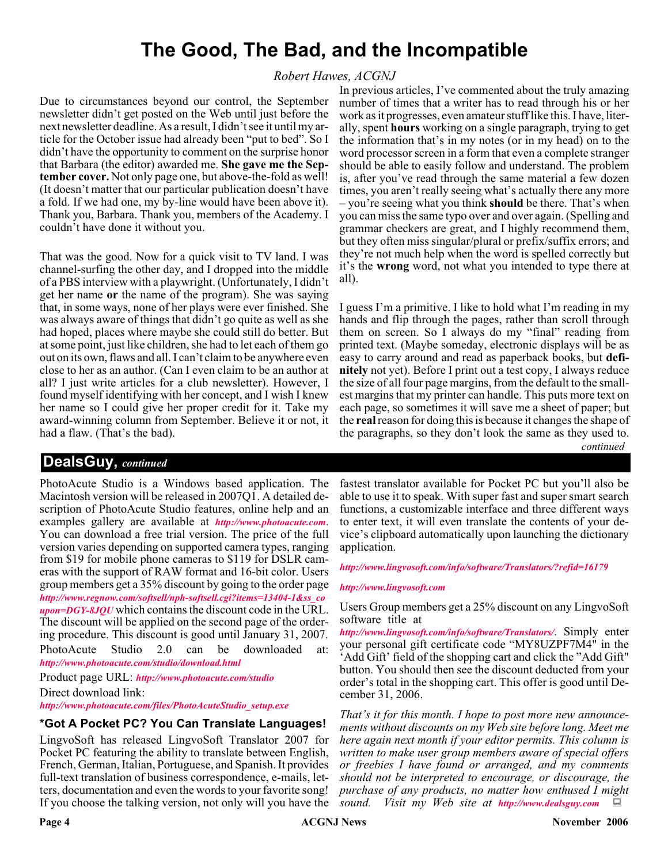# **The Good, The Bad, and the Incompatible**

#### *Robert Hawes, ACGNJ*

Due to circumstances beyond our control, the September newsletter didn't get posted on the Web until just before the next newsletter deadline. As a result, I didn't see it until my article for the October issue had already been "put to bed". So I didn't have the opportunity to comment on the surprise honor that Barbara (the editor) awarded me. **She gave me the September cover.** Not only page one, but above-the-fold as well! (It doesn't matter that our particular publication doesn't have a fold. If we had one, my by-line would have been above it). Thank you, Barbara. Thank you, members of the Academy. I couldn't have done it without you.

That was the good. Now for a quick visit to TV land. I was channel-surfing the other day, and I dropped into the middle of a PBS interview with a playwright. (Unfortunately, I didn't get her name **or** the name of the program). She was saying that, in some ways, none of her plays were ever finished. She was always aware of things that didn't go quite as well as she had hoped, places where maybe she could still do better. But at some point, just like children, she had to let each of them go out on its own, flaws and all. I can't claim to be anywhere even close to her as an author. (Can I even claim to be an author at all? I just write articles for a club newsletter). However, I found myself identifying with her concept, and I wish I knew her name so I could give her proper credit for it. Take my award-winning column from September. Believe it or not, it had a flaw. (That's the bad).

#### In previous articles, I've commented about the truly amazing number of times that a writer has to read through his or her work as it progresses, even amateur stuff like this. I have, literally, spent **hours** working on a single paragraph, trying to get the information that's in my notes (or in my head) on to the word processor screen in a form that even a complete stranger should be able to easily follow and understand. The problem is, after you've read through the same material a few dozen times, you aren't really seeing what's actually there any more – you're seeing what you think **should** be there. That's when you can miss the same typo over and over again. (Spelling and grammar checkers are great, and I highly recommend them, but they often miss singular/plural or prefix/suffix errors; and they're not much help when the word is spelled correctly but it's the **wrong** word, not what you intended to type there at all).

*continued* I guess I'm a primitive. I like to hold what I'm reading in my hands and flip through the pages, rather than scroll through them on screen. So I always do my "final" reading from printed text. (Maybe someday, electronic displays will be as easy to carry around and read as paperback books, but **definitely** not yet). Before I print out a test copy, I always reduce the size of all four page margins, from the default to the smallest margins that my printer can handle. This puts more text on each page, so sometimes it will save me a sheet of paper; but the **real**reason for doing this is because it changes the shape of the paragraphs, so they don't look the same as they used to.

### **DealsGuy,** *continued*

PhotoAcute Studio is a Windows based application. The Macintosh version will be released in 2007Q1. A detailed description of PhotoAcute Studio features, online help and an examples gallery are available at *<http://www.photoacute.com>*. You can download a free trial version. The price of the full version varies depending on supported camera types, ranging from \$19 for mobile phone cameras to \$119 for DSLR cameras with the support of RAW format and 16-bit color. Users group members get a 35% discount by going to the order page *[http://www.regnow.com/softsell/nph-softsell.cgi?items=13404-1&ss\\_co](http://www.regnow.com/softsell/nph-softsell.cgi?items=13404-1&ss_coupon=DGY-8JQU) upon=DGY-8JQU* which contains the discount code in the URL. The discount will be applied on the second page of the ordering procedure. This discount is good until January 31, 2007. PhotoAcute Studio 2.0 can be downloaded at: *<http://www.photoacute.com/studio/download.html>*

Product page URL: *<http://www.photoacute.com/studio>* Direct download link:

*[http://www.photoacute.com/files/PhotoAcuteStudio\\_setup.exe](http://www.photoacute.com/files/PhotoAcuteStudio_setup.exe)*

#### **\*Got A Pocket PC? You Can Translate Languages!**

LingvoSoft has released LingvoSoft Translator 2007 for Pocket PC featuring the ability to translate between English, French, German, Italian, Portuguese, and Spanish. It provides full-text translation of business correspondence, e-mails, letters, documentation and even the words to your favorite song! If you choose the talking version, not only will you have the

fastest translator available for Pocket PC but you'll also be able to use it to speak. With super fast and super smart search functions, a customizable interface and three different ways to enter text, it will even translate the contents of your device's clipboard automatically upon launching the dictionary application.

#### *<http://www.lingvosoft.com/info/software/Translators/?refid=16179>*

#### *<http://www.lingvosoft.com>*

Users Group members get a 25% discount on any LingvoSoft software title at

*<http://www.lingvosoft.com/info/software/Translators/>*. Simply enter your personal gift certificate code "MY8UZPF7M4" in the 'Add Gift' field of the shopping cart and click the "Add Gift" button. You should then see the discount deducted from your order's total in the shopping cart. This offer is good until December 31, 2006.

*That's it for this month. I hope to post more new announcements without discounts on my Web site before long. Meet me here again next month if your editor permits. This column is written to make user group members aware of special offers or freebies I have found or arranged, and my comments should not be interpreted to encourage, or discourage, the purchase of any products, no matter how enthused I might sound. Visit my Web site at <http://www.dealsguy.com>*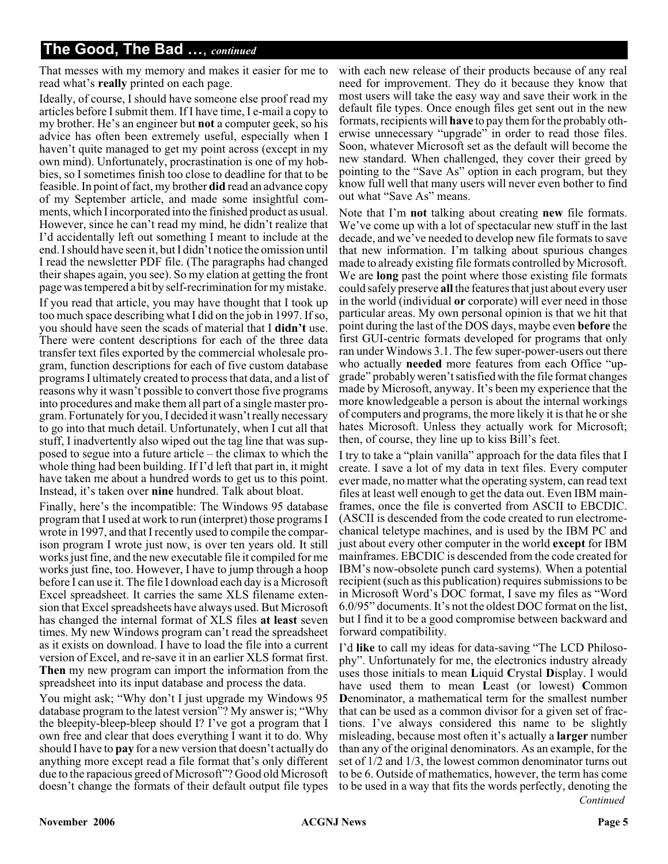## **The Good, The Bad …**, *continued*

That messes with my memory and makes it easier for me to read what's **really** printed on each page.

Ideally, of course, I should have someone else proof read my articles before I submit them. If I have time, I e-mail a copy to my brother. He's an engineer but **not** a computer geek, so his advice has often been extremely useful, especially when I haven't quite managed to get my point across (except in my own mind). Unfortunately, procrastination is one of my hobbies, so I sometimes finish too close to deadline for that to be feasible. In point of fact, my brother **did** read an advance copy of my September article, and made some insightful comments, which I incorporated into the finished product as usual. However, since he can't read my mind, he didn't realize that I'd accidentally left out something I meant to include at the end. I should have seen it, but I didn't notice the omission until I read the newsletter PDF file. (The paragraphs had changed their shapes again, you see). So my elation at getting the front page was tempered a bit by self-recrimination for my mistake.

If you read that article, you may have thought that I took up too much space describing what I did on the job in 1997. If so, you should have seen the scads of material that I **didn't** use. There were content descriptions for each of the three data transfer text files exported by the commercial wholesale program, function descriptions for each of five custom database programs I ultimately created to process that data, and a list of reasons why it wasn't possible to convert those five programs into procedures and make them all part of a single master program. Fortunately for you, I decided it wasn't really necessary to go into that much detail. Unfortunately, when I cut all that stuff, I inadvertently also wiped out the tag line that was supposed to segue into a future article – the climax to which the whole thing had been building. If I'd left that part in, it might have taken me about a hundred words to get us to this point. Instead, it's taken over **nine** hundred. Talk about bloat.

Finally, here's the incompatible: The Windows 95 database program that I used at work to run (interpret) those programs I wrote in 1997, and that I recently used to compile the comparison program I wrote just now, is over ten years old. It still works just fine, and the new executable file it compiled for me works just fine, too. However, I have to jump through a hoop before I can use it. The file I download each day is a Microsoft Excel spreadsheet. It carries the same XLS filename extension that Excel spreadsheets have always used. But Microsoft has changed the internal format of XLS files **at least** seven times. My new Windows program can't read the spreadsheet as it exists on download. I have to load the file into a current version of Excel, and re-save it in an earlier XLS format first. **Then** my new program can import the information from the spreadsheet into its input database and process the data.

You might ask; "Why don't I just upgrade my Windows 95 database program to the latest version"? My answer is; "Why the bleepity-bleep-bleep should I? I've got a program that I own free and clear that does everything I want it to do. Why should I have to **pay** for a new version that doesn't actually do anything more except read a file format that's only different due to the rapacious greed of Microsoft"? Good old Microsoft doesn't change the formats of their default output file types

with each new release of their products because of any real need for improvement. They do it because they know that most users will take the easy way and save their work in the default file types. Once enough files get sent out in the new formats, recipients will **have** to pay them for the probably otherwise unnecessary "upgrade" in order to read those files. Soon, whatever Microsoft set as the default will become the new standard. When challenged, they cover their greed by pointing to the "Save As" option in each program, but they know full well that many users will never even bother to find out what "Save As" means.

Note that I'm **not** talking about creating **new** file formats. We've come up with a lot of spectacular new stuff in the last decade, and we've needed to develop new file formats to save that new information. I'm talking about spurious changes made to already existing file formats controlled by Microsoft. We are **long** past the point where those existing file formats could safely preserve **all** the features that just about every user in the world (individual **or** corporate) will ever need in those particular areas. My own personal opinion is that we hit that point during the last of the DOS days, maybe even **before** the first GUI-centric formats developed for programs that only ran under Windows 3.1. The few super-power-users out there who actually **needed** more features from each Office "upgrade" probably weren't satisfied with the file format changes made by Microsoft, anyway. It's been my experience that the more knowledgeable a person is about the internal workings of computers and programs, the more likely it is that he or she hates Microsoft. Unless they actually work for Microsoft; then, of course, they line up to kiss Bill's feet.

I try to take a "plain vanilla" approach for the data files that I create. I save a lot of my data in text files. Every computer ever made, no matter what the operating system, can read text files at least well enough to get the data out. Even IBM mainframes, once the file is converted from ASCII to EBCDIC. (ASCII is descended from the code created to run electromechanical teletype machines, and is used by the IBM PC and just about every other computer in the world **except** for IBM mainframes. EBCDIC is descended from the code created for IBM's now-obsolete punch card systems). When a potential recipient (such as this publication) requires submissions to be in Microsoft Word's DOC format, I save my files as "Word 6.0/95" documents. It's not the oldest DOC format on the list, but I find it to be a good compromise between backward and forward compatibility.

*Continued* I'd **like** to call my ideas for data-saving "The LCD Philosophy". Unfortunately for me, the electronics industry already uses those initials to mean **L**iquid **C**rystal **D**isplay. I would have used them to mean **L**east (or lowest) **C**ommon **D**enominator, a mathematical term for the smallest number that can be used as a common divisor for a given set of fractions. I've always considered this name to be slightly misleading, because most often it's actually a **larger** number than any of the original denominators. As an example, for the set of 1/2 and 1/3, the lowest common denominator turns out to be 6. Outside of mathematics, however, the term has come to be used in a way that fits the words perfectly, denoting the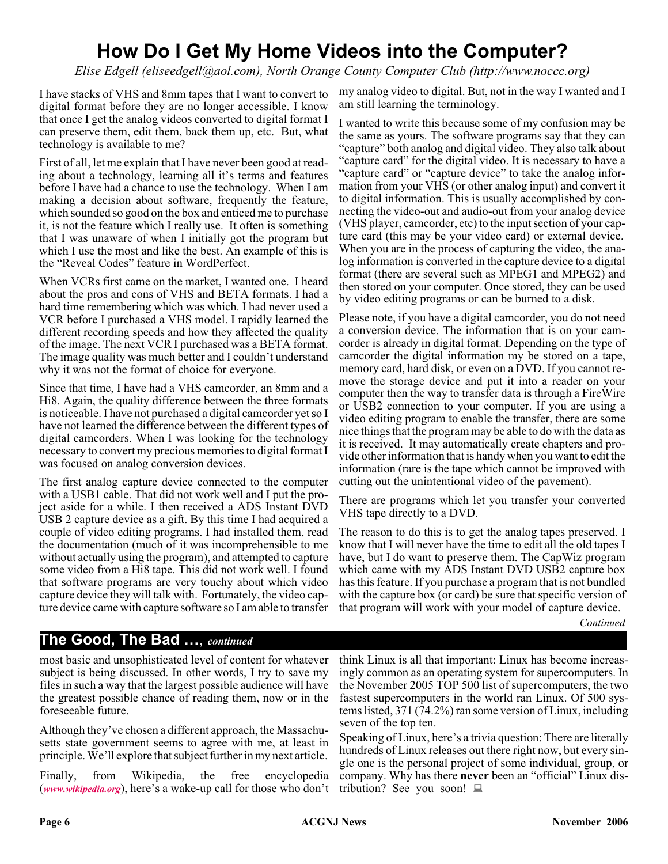# **How Do I Get My Home Videos into the Computer?**

*Elise Edgell (eliseedgell@aol.com), North Orange County Computer Club (http://www.noccc.org)*

I have stacks of VHS and 8mm tapes that I want to convert to digital format before they are no longer accessible. I know that once I get the analog videos converted to digital format I can preserve them, edit them, back them up, etc. But, what technology is available to me?

First of all, let me explain that I have never been good at reading about a technology, learning all it's terms and features before I have had a chance to use the technology. When I am making a decision about software, frequently the feature, which sounded so good on the box and enticed me to purchase it, is not the feature which I really use. It often is something that I was unaware of when I initially got the program but which I use the most and like the best. An example of this is the "Reveal Codes" feature in WordPerfect.

When VCRs first came on the market, I wanted one. I heard about the pros and cons of VHS and BETA formats. I had a hard time remembering which was which. I had never used a VCR before I purchased a VHS model. I rapidly learned the different recording speeds and how they affected the quality of the image. The next VCR I purchased was a BETA format. The image quality was much better and I couldn't understand why it was not the format of choice for everyone.

Since that time, I have had a VHS camcorder, an 8mm and a Hi8. Again, the quality difference between the three formats is noticeable. I have not purchased a digital camcorder yet so I have not learned the difference between the different types of digital camcorders. When I was looking for the technology necessary to convert my precious memories to digital format I was focused on analog conversion devices.

The first analog capture device connected to the computer with a USB1 cable. That did not work well and I put the project aside for a while. I then received a ADS Instant DVD USB 2 capture device as a gift. By this time I had acquired a couple of video editing programs. I had installed them, read the documentation (much of it was incomprehensible to me without actually using the program), and attempted to capture some video from a Hi8 tape. This did not work well. I found that software programs are very touchy about which video capture device they will talk with. Fortunately, the video capture device came with capture software so I am able to transfer

my analog video to digital. But, not in the way I wanted and I am still learning the terminology.

I wanted to write this because some of my confusion may be the same as yours. The software programs say that they can "capture" both analog and digital video. They also talk about "capture card" for the digital video. It is necessary to have a "capture card" or "capture device" to take the analog information from your VHS (or other analog input) and convert it to digital information. This is usually accomplished by connecting the video-out and audio-out from your analog device (VHS player, camcorder, etc) to the input section of your capture card (this may be your video card) or external device. When you are in the process of capturing the video, the analog information is converted in the capture device to a digital format (there are several such as MPEG1 and MPEG2) and then stored on your computer. Once stored, they can be used by video editing programs or can be burned to a disk.

Please note, if you have a digital camcorder, you do not need a conversion device. The information that is on your camcorder is already in digital format. Depending on the type of camcorder the digital information my be stored on a tape, memory card, hard disk, or even on a DVD. If you cannot remove the storage device and put it into a reader on your computer then the way to transfer data is through a FireWire or USB2 connection to your computer. If you are using a video editing program to enable the transfer, there are some nice things that the program may be able to do with the data as it is received. It may automatically create chapters and provide other information that is handy when you want to edit the information (rare is the tape which cannot be improved with cutting out the unintentional video of the pavement).

There are programs which let you transfer your converted VHS tape directly to a DVD.

The reason to do this is to get the analog tapes preserved. I know that I will never have the time to edit all the old tapes I have, but I do want to preserve them. The CapWiz program which came with my ADS Instant DVD USB2 capture box has this feature. If you purchase a program that is not bundled with the capture box (or card) be sure that specific version of that program will work with your model of capture device.

*Continued*

### **The Good, The Bad …**, *continued*

most basic and unsophisticated level of content for whatever subject is being discussed. In other words, I try to save my files in such a way that the largest possible audience will have the greatest possible chance of reading them, now or in the foreseeable future.

Although they've chosen a different approach, the Massachusetts state government seems to agree with me, at least in principle. We'll explore that subject further in my next article.

Finally, from Wikipedia, the free encyclopedia (*[www.wikipedia.org](http://www.wikipedia.org)*), here's a wake-up call for those who don't

think Linux is all that important: Linux has become increasingly common as an operating system for supercomputers. In the November 2005 TOP 500 list of supercomputers, the two fastest supercomputers in the world ran Linux. Of 500 systems listed, 371 (74.2%) ran some version of Linux, including seven of the top ten.

Speaking of Linux, here's a trivia question: There are literally hundreds of Linux releases out there right now, but every single one is the personal project of some individual, group, or company. Why has there **never** been an "official" Linux distribution? See you soon!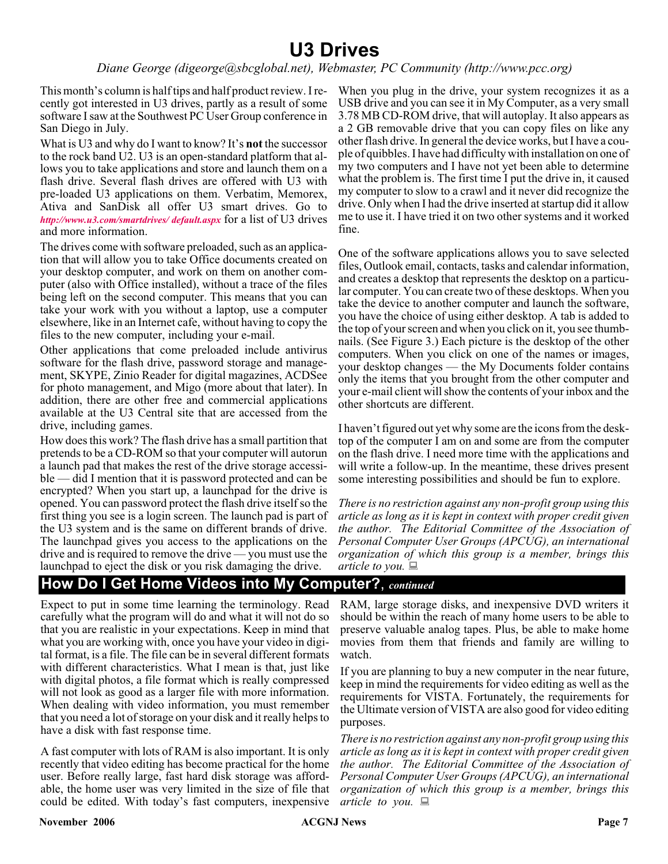# **U3 Drives**

#### *Diane George (digeorge@sbcglobal.net), Webmaster, PC Community (http://www.pcc.org)*

This month's column is half tips and half product review. I recently got interested in U3 drives, partly as a result of some software I saw at the Southwest PC User Group conference in San Diego in July.

What is U3 and why do I want to know? It's **not** the successor to the rock band U2. U3 is an open-standard platform that allows you to take applications and store and launch them on a flash drive. Several flash drives are offered with U3 with pre-loaded U3 applications on them. Verbatim, Memorex, Ativa and SanDisk all offer U3 smart drives. Go to *<http://www.u3.com/smartdrives/ default.aspx>* for a list of U3 drives and more information.

The drives come with software preloaded, such as an application that will allow you to take Office documents created on your desktop computer, and work on them on another computer (also with Office installed), without a trace of the files being left on the second computer. This means that you can take your work with you without a laptop, use a computer elsewhere, like in an Internet cafe, without having to copy the files to the new computer, including your e-mail.

Other applications that come preloaded include antivirus software for the flash drive, password storage and management, SKYPE, Zinio Reader for digital magazines, ACDSee for photo management, and Migo (more about that later). In addition, there are other free and commercial applications available at the U3 Central site that are accessed from the drive, including games.

How does this work? The flash drive has a small partition that pretends to be a CD-ROM so that your computer will autorun a launch pad that makes the rest of the drive storage accessible — did I mention that it is password protected and can be encrypted? When you start up, a launchpad for the drive is opened. You can password protect the flash drive itself so the first thing you see is a login screen. The launch pad is part of the U3 system and is the same on different brands of drive. The launchpad gives you access to the applications on the drive and is required to remove the drive — you must use the launchpad to eject the disk or you risk damaging the drive.

When you plug in the drive, your system recognizes it as a USB drive and you can see it in My Computer, as a very small 3.78 MB CD-ROM drive, that will autoplay. It also appears as a 2 GB removable drive that you can copy files on like any other flash drive. In general the device works, but I have a couple of quibbles. I have had difficulty with installation on one of my two computers and I have not yet been able to determine what the problem is. The first time I put the drive in, it caused my computer to slow to a crawl and it never did recognize the drive. Only when I had the drive inserted at startup did it allow me to use it. I have tried it on two other systems and it worked fine.

One of the software applications allows you to save selected files, Outlook email, contacts, tasks and calendar information, and creates a desktop that represents the desktop on a particular computer. You can create two of these desktops. When you take the device to another computer and launch the software, you have the choice of using either desktop. A tab is added to the top of your screen and when you click on it, you see thumbnails. (See Figure 3.) Each picture is the desktop of the other computers. When you click on one of the names or images, your desktop changes — the My Documents folder contains only the items that you brought from the other computer and your e-mail client will show the contents of your inbox and the other shortcuts are different.

I haven't figured out yet why some are the icons from the desktop of the computer I am on and some are from the computer on the flash drive. I need more time with the applications and will write a follow-up. In the meantime, these drives present some interesting possibilities and should be fun to explore.

*There is no restriction against any non-profit group using this article as long as it is kept in context with proper credit given the author. The Editorial Committee of the Association of Personal Computer User Groups (APCUG), an international organization of which this group is a member, brings this article to you.*

### **How Do I Get Home Videos into My Computer?**, *continued*

Expect to put in some time learning the terminology. Read carefully what the program will do and what it will not do so that you are realistic in your expectations. Keep in mind that what you are working with, once you have your video in digital format, is a file. The file can be in several different formats with different characteristics. What I mean is that, just like with digital photos, a file format which is really compressed will not look as good as a larger file with more information. When dealing with video information, you must remember that you need a lot of storage on your disk and it really helps to have a disk with fast response time.

A fast computer with lots of RAM is also important. It is only recently that video editing has become practical for the home user. Before really large, fast hard disk storage was affordable, the home user was very limited in the size of file that could be edited. With today's fast computers, inexpensive

RAM, large storage disks, and inexpensive DVD writers it should be within the reach of many home users to be able to preserve valuable analog tapes. Plus, be able to make home movies from them that friends and family are willing to watch.

If you are planning to buy a new computer in the near future, keep in mind the requirements for video editing as well as the requirements for VISTA. Fortunately, the requirements for the Ultimate version of VISTA are also good for video editing purposes.

*There is no restriction against any non-profit group using this article as long as it is kept in context with proper credit given the author. The Editorial Committee of the Association of Personal Computer User Groups (APCUG), an international organization of which this group is a member, brings this article to you.*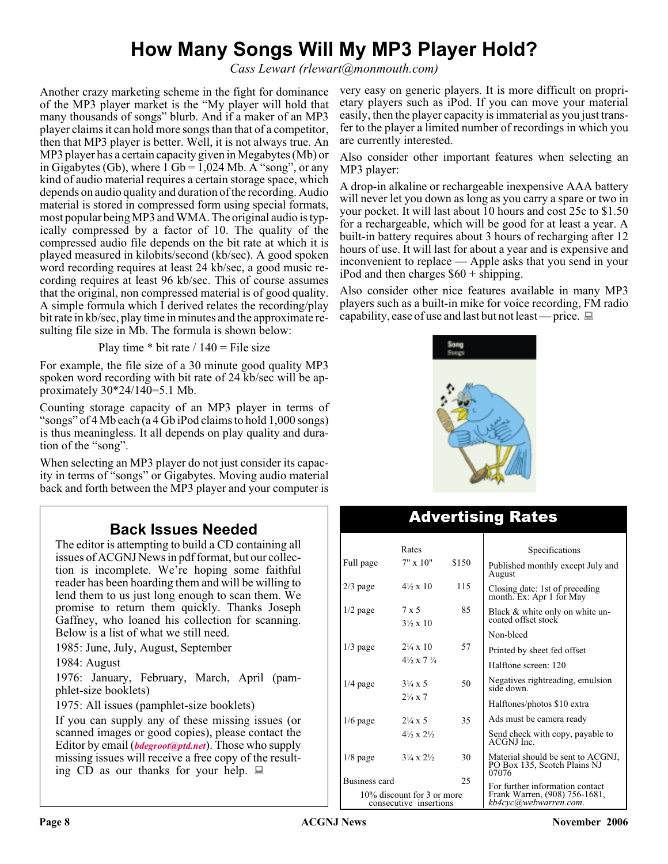# **How Many Songs Will My MP3 Player Hold?**

*Cass Lewart (rlewart@monmouth.com)*

Another crazy marketing scheme in the fight for dominance of the MP3 player market is the "My player will hold that many thousands of songs" blurb. And if a maker of an MP3 player claims it can hold more songs than that of a competitor, then that MP3 player is better. Well, it is not always true. An MP3 player has a certain capacity given in Megabytes (Mb) or in Gigabytes (Gb), where  $1 \text{ Gb} = 1,024 \text{ Mb}$ . A "song", or any kind of audio material requires a certain storage space, which depends on audio quality and duration of the recording. Audio material is stored in compressed form using special formats, most popular being MP3 and WMA. The original audio is typically compressed by a factor of 10. The quality of the compressed audio file depends on the bit rate at which it is played measured in kilobits/second (kb/sec). A good spoken word recording requires at least 24 kb/sec, a good music recording requires at least 96 kb/sec. This of course assumes that the original, non compressed material is of good quality. A simple formula which I derived relates the recording/play bit rate in kb/sec, play time in minutes and the approximate resulting file size in Mb. The formula is shown below:

Play time  $*$  bit rate / 140 = File size

For example, the file size of a 30 minute good quality MP3 spoken word recording with bit rate of 24 kb/sec will be approximately 30\*24/140=5.1 Mb.

Counting storage capacity of an MP3 player in terms of "songs" of 4 Mb each (a 4 Gb iPod claims to hold 1,000 songs) is thus meaningless. It all depends on play quality and duration of the "song".

When selecting an MP3 player do not just consider its capacity in terms of "songs" or Gigabytes. Moving audio material back and forth between the MP3 player and your computer is

## **Back Issues Needed**

The editor is attempting to build a CD containing all issues of ACGNJ News in pdf format, but our collection is incomplete. We're hoping some faithful reader has been hoarding them and will be willing to lend them to us just long enough to scan them. We promise to return them quickly. Thanks Joseph Gaffney, who loaned his collection for scanning. Below is a list of what we still need.

1985: June, July, August, September

1984: August

1976: January, February, March, April (pamphlet-size booklets)

1975: All issues (pamphlet-size booklets)

If you can supply any of these missing issues (or scanned images or good copies), please contact the Editor by email (*[bdegroot@ptd.net](mailto:bdegroot@ptd.net)*). Those who supply missing issues will receive a free copy of the resulting  $\overline{CD}$  as our thanks for your help.  $\Box$ 

very easy on generic players. It is more difficult on proprietary players such as iPod. If you can move your material easily, then the player capacity is immaterial as you just transfer to the player a limited number of recordings in which you are currently interested.

Also consider other important features when selecting an MP3 player:

A drop-in alkaline or rechargeable inexpensive AAA battery will never let you down as long as you carry a spare or two in your pocket. It will last about 10 hours and cost 25c to \$1.50 for a rechargeable, which will be good for at least a year. A built-in battery requires about 3 hours of recharging after 12 hours of use. It will last for about a year and is expensive and inconvenient to replace — Apple asks that you send in your iPod and then charges \$60 + shipping.

Also consider other nice features available in many MP3 players such as a built-in mike for voice recording, FM radio capability, ease of use and last but not least — price.  $\Box$ 



# Advertising Rates

|                                                      | Rates                              |       | Specifications                                                                            |
|------------------------------------------------------|------------------------------------|-------|-------------------------------------------------------------------------------------------|
| Full page                                            | $7" \times 10"$                    | \$150 | Published monthly except July and<br>August                                               |
| $2/3$ page                                           | $4\frac{1}{2} \times 10$           | 115   | Closing date: 1st of preceding<br>month. Ex: Apr 1 for May                                |
| $1/2$ page                                           | 7 x 5<br>$3\frac{1}{2} \times 10$  | 85    | Black & white only on white un-<br>coated offset stock                                    |
|                                                      |                                    |       | Non-bleed                                                                                 |
| $1/3$ page                                           | $2\frac{1}{4} \times 10$           | 57    | Printed by sheet fed offset                                                               |
|                                                      | $4\frac{1}{2} \times 7\frac{1}{4}$ |       | Halftone screen: 120                                                                      |
| $1/4$ page                                           | $3\frac{1}{4} \times 5$            | 50    | Negatives rightreading, emulsion<br>side down.                                            |
|                                                      | $2\frac{1}{4} \times 7$            |       | Halftones/photos \$10 extra                                                               |
| $1/6$ page                                           | $2\frac{1}{4} \times 5$            | 35    | Ads must be camera ready                                                                  |
|                                                      | $4\frac{1}{2} \times 2\frac{1}{2}$ |       | Send check with copy, payable to<br>ACGNJ Inc.                                            |
| $1/8$ page                                           | $3\frac{1}{4} \times 2\frac{1}{2}$ | 30    | Material should be sent to ACGNJ,<br>PO Box 135, Scotch Plains NJ<br>07076                |
| Business card                                        |                                    | 25    |                                                                                           |
| 10% discount for 3 or more<br>consecutive insertions |                                    |       | For further information contact<br>Frank Warren, (908) 756-1681,<br>kb4cyc@webwarren.com. |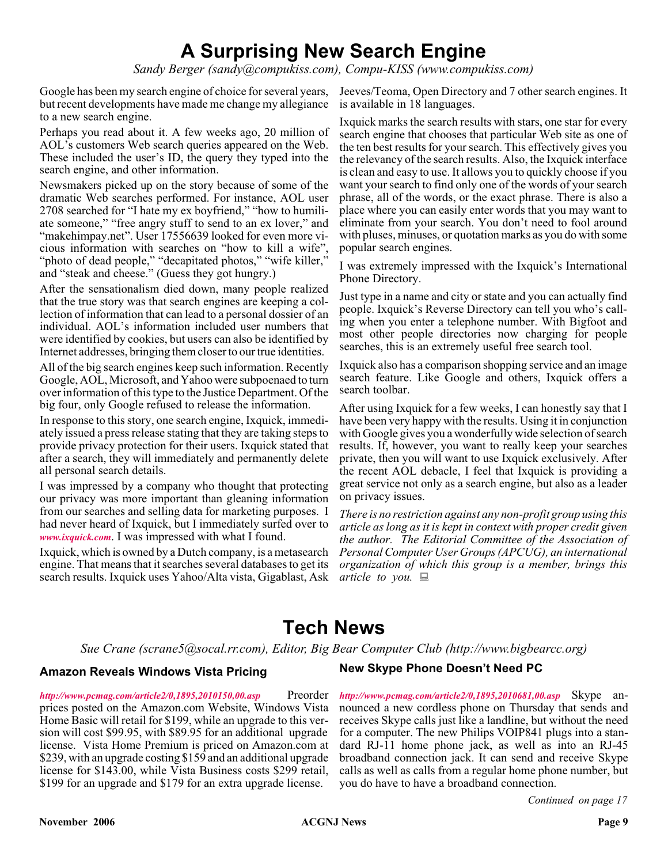# **A Surprising New Search Engine**

*Sandy Berger (sandy@compukiss.com), Compu-KISS (www.compukiss.com)*

Google has been my search engine of choice for several years, but recent developments have made me change my allegiance to a new search engine.

Perhaps you read about it. A few weeks ago, 20 million of AOL's customers Web search queries appeared on the Web. These included the user's ID, the query they typed into the search engine, and other information.

Newsmakers picked up on the story because of some of the dramatic Web searches performed. For instance, AOL user 2708 searched for "I hate my ex boyfriend," "how to humiliate someone," "free angry stuff to send to an ex lover," and "makehimpay.net". User 17556639 looked for even more vicious information with searches on "how to kill a wife", "photo of dead people," "decapitated photos," "wife killer," and "steak and cheese." (Guess they got hungry.)

After the sensationalism died down, many people realized that the true story was that search engines are keeping a collection of information that can lead to a personal dossier of an individual. AOL's information included user numbers that were identified by cookies, but users can also be identified by Internet addresses, bringing them closer to our true identities.

All of the big search engines keep such information. Recently Google, AOL, Microsoft, and Yahoo were subpoenaed to turn over information of this type to the Justice Department. Of the big four, only Google refused to release the information.

In response to this story, one search engine, Ixquick, immediately issued a press release stating that they are taking steps to provide privacy protection for their users. Ixquick stated that after a search, they will immediately and permanently delete all personal search details.

I was impressed by a company who thought that protecting our privacy was more important than gleaning information from our searches and selling data for marketing purposes. I had never heard of Ixquick, but I immediately surfed over to *[www.ixquick.com](http://www.ixquick.com)*. I was impressed with what I found.

Ixquick, which is owned by a Dutch company, is a metasearch engine. That means that it searches several databases to get its search results. Ixquick uses Yahoo/Alta vista, Gigablast, Ask

Jeeves/Teoma, Open Directory and 7 other search engines. It is available in 18 languages.

Ixquick marks the search results with stars, one star for every search engine that chooses that particular Web site as one of the ten best results for your search. This effectively gives you the relevancy of the search results. Also, the Ixquick interface is clean and easy to use. It allows you to quickly choose if you want your search to find only one of the words of your search phrase, all of the words, or the exact phrase. There is also a place where you can easily enter words that you may want to eliminate from your search. You don't need to fool around with pluses, minuses, or quotation marks as you do with some popular search engines.

I was extremely impressed with the Ixquick's International Phone Directory.

Just type in a name and city or state and you can actually find people. Ixquick's Reverse Directory can tell you who's calling when you enter a telephone number. With Bigfoot and most other people directories now charging for people searches, this is an extremely useful free search tool.

Ixquick also has a comparison shopping service and an image search feature. Like Google and others, Ixquick offers a search toolbar.

After using Ixquick for a few weeks, I can honestly say that I have been very happy with the results. Using it in conjunction with Google gives you a wonderfully wide selection of search results. If, however, you want to really keep your searches private, then you will want to use Ixquick exclusively. After the recent AOL debacle, I feel that Ixquick is providing a great service not only as a search engine, but also as a leader on privacy issues.

*There is no restriction against any non-profit group using this article as long as it is kept in context with proper credit given the author. The Editorial Committee of the Association of Personal Computer User Groups (APCUG), an international organization of which this group is a member, brings this article to you.*

# **Tech News**

*Sue Crane (scrane5@socal.rr.com), Editor, Big Bear Computer Club (http://www.bigbearcc.org)*

#### **Amazon Reveals Windows Vista Pricing**

**New Skype Phone Doesn't Need PC**

*[http://www.pcmag.com/article2/0,1895,2010150,00.asp](Http://www.pcmag.com/article2/0,1895,2010150,00.asp)* Preorder prices posted on the Amazon.com Website, Windows Vista Home Basic will retail for \$199, while an upgrade to this version will cost \$99.95, with \$89.95 for an additional upgrade license. Vista Home Premium is priced on Amazon.com at \$239, with an upgrade costing \$159 and an additional upgrade license for \$143.00, while Vista Business costs \$299 retail, \$199 for an upgrade and \$179 for an extra upgrade license.

*[http://www.pcmag.com/article2/0,1895,2010681,00.asp](Http://www.pcmag.com/article2/0,1895,2010681,00.asp)* Skype announced a new cordless phone on Thursday that sends and receives Skype calls just like a landline, but without the need for a computer. The new Philips VOIP841 plugs into a standard RJ-11 home phone jack, as well as into an RJ-45 broadband connection jack. It can send and receive Skype calls as well as calls from a regular home phone number, but you do have to have a broadband connection.

*Continued on page 17*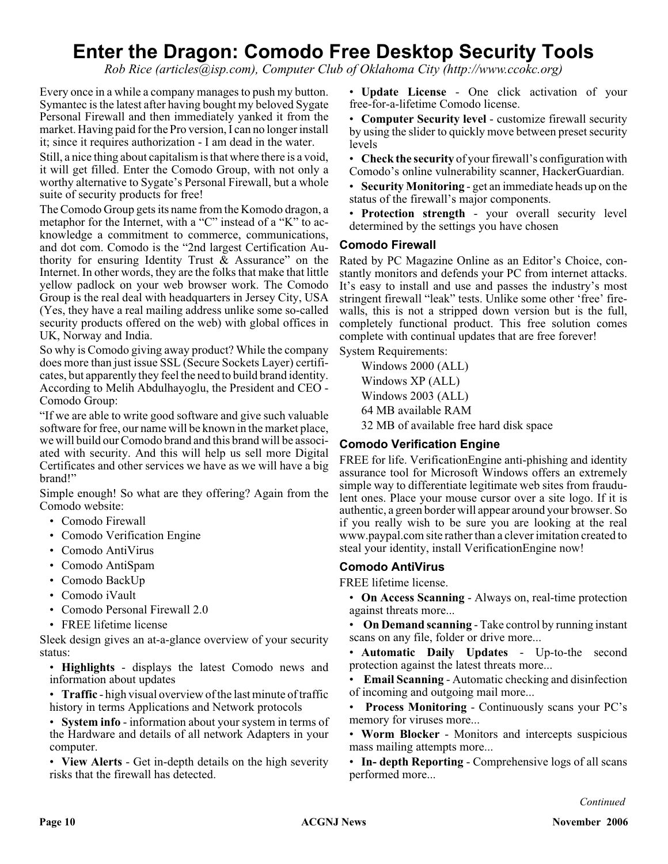# **Enter the Dragon: Comodo Free Desktop Security Tools**

*Rob Rice (articles@isp.com), Computer Club of Oklahoma City (http://www.ccokc.org)*

Every once in a while a company manages to push my button. Symantec is the latest after having bought my beloved Sygate Personal Firewall and then immediately yanked it from the market. Having paid for the Pro version, I can no longer install it; since it requires authorization - I am dead in the water.

Still, a nice thing about capitalism is that where there is a void, it will get filled. Enter the Comodo Group, with not only a worthy alternative to Sygate's Personal Firewall, but a whole suite of security products for free!

The Comodo Group gets its name from the Komodo dragon, a metaphor for the Internet, with a "C" instead of a "K" to acknowledge a commitment to commerce, communications, and dot com. Comodo is the "2nd largest Certification Authority for ensuring Identity Trust & Assurance" on the Internet. In other words, they are the folks that make that little yellow padlock on your web browser work. The Comodo Group is the real deal with headquarters in Jersey City, USA (Yes, they have a real mailing address unlike some so-called security products offered on the web) with global offices in UK, Norway and India.

So why is Comodo giving away product? While the company does more than just issue SSL (Secure Sockets Layer) certificates, but apparently they feel the need to build brand identity. According to Melih Abdulhayoglu, the President and CEO - Comodo Group:

"If we are able to write good software and give such valuable software for free, our name will be known in the market place, we will build our Comodo brand and this brand will be associated with security. And this will help us sell more Digital Certificates and other services we have as we will have a big brand!"

Simple enough! So what are they offering? Again from the Comodo website:

- Comodo Firewall
- Comodo Verification Engine
- Comodo AntiVirus
- Comodo AntiSpam
- Comodo BackUp
- Comodo iVault
- Comodo Personal Firewall 2.0
- FREE lifetime license

Sleek design gives an at-a-glance overview of your security status:

• **Highlights** - displays the latest Comodo news and information about updates

• **Traffic** - high visual overview of the last minute of traffic history in terms Applications and Network protocols

• **System info** - information about your system in terms of the Hardware and details of all network Adapters in your computer.

• **View Alerts** - Get in-depth details on the high severity risks that the firewall has detected.

• **Update License** - One click activation of your free-for-a-lifetime Comodo license.

• **Computer Security level** - customize firewall security by using the slider to quickly move between preset security levels

• **Check the security** of your firewall's configuration with Comodo's online vulnerability scanner, HackerGuardian.

• **Security Monitoring** - get an immediate heads up on the status of the firewall's major components.

• **Protection strength** - your overall security level determined by the settings you have chosen

#### **Comodo Firewall**

Rated by PC Magazine Online as an Editor's Choice, constantly monitors and defends your PC from internet attacks. It's easy to install and use and passes the industry's most stringent firewall "leak" tests. Unlike some other 'free' firewalls, this is not a stripped down version but is the full, completely functional product. This free solution comes complete with continual updates that are free forever!

System Requirements:

Windows 2000 (ALL) Windows XP (ALL) Windows 2003 (ALL) 64 MB available RAM 32 MB of available free hard disk space

#### **Comodo Verification Engine**

FREE for life. VerificationEngine anti-phishing and identity assurance tool for Microsoft Windows offers an extremely simple way to differentiate legitimate web sites from fraudulent ones. Place your mouse cursor over a site logo. If it is authentic, a green border will appear around your browser. So if you really wish to be sure you are looking at the real www.paypal.com site rather than a clever imitation created to steal your identity, install VerificationEngine now!

#### **Comodo AntiVirus**

FREE lifetime license.

• **On Access Scanning** - Always on, real-time protection against threats more...

• **On Demand scanning** - Take control by running instant scans on any file, folder or drive more...

• **Automatic Daily Updates** - Up-to-the second protection against the latest threats more...

**Email Scanning** - Automatic checking and disinfection of incoming and outgoing mail more...

• **Process Monitoring** - Continuously scans your PC's memory for viruses more...

• **Worm Blocker** - Monitors and intercepts suspicious mass mailing attempts more...

• **In- depth Reporting** - Comprehensive logs of all scans performed more...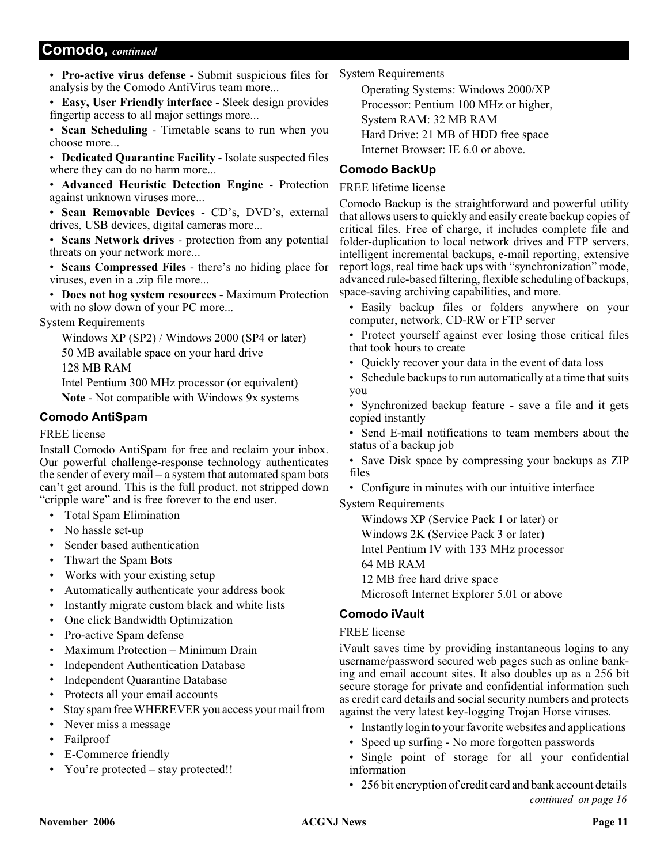### **Comodo,** *continued*

• **Pro-active virus defense** - Submit suspicious files for analysis by the Comodo AntiVirus team more...

• **Easy, User Friendly interface** - Sleek design provides fingertip access to all major settings more...

• **Scan Scheduling** - Timetable scans to run when you choose more...

• **Dedicated Quarantine Facility** - Isolate suspected files where they can do no harm more...

• **Advanced Heuristic Detection Engine** - Protection against unknown viruses more...

• **Scan Removable Devices** - CD's, DVD's, external drives, USB devices, digital cameras more...

• **Scans Network drives** - protection from any potential threats on your network more...

• **Scans Compressed Files** - there's no hiding place for viruses, even in a .zip file more...

• **Does not hog system resources** - Maximum Protection with no slow down of your PC more...

System Requirements

Windows XP (SP2) / Windows 2000 (SP4 or later) 50 MB available space on your hard drive

128 MB RAM

Intel Pentium 300 MHz processor (or equivalent) **Note** - Not compatible with Windows 9x systems

#### **Comodo AntiSpam**

FREE license

Install Comodo AntiSpam for free and reclaim your inbox. Our powerful challenge-response technology authenticates the sender of every mail – a system that automated spam bots can't get around. This is the full product, not stripped down "cripple ware" and is free forever to the end user.

- Total Spam Elimination
- No hassle set-up
- Sender based authentication
- Thwart the Spam Bots
- Works with your existing setup
- Automatically authenticate your address book
- Instantly migrate custom black and white lists
- One click Bandwidth Optimization
- Pro-active Spam defense
- Maximum Protection Minimum Drain
- Independent Authentication Database
- **Independent Quarantine Database**
- Protects all your email accounts
- Stay spam free WHEREVER you access your mail from
- Never miss a message
- Failproof
- E-Commerce friendly
- You're protected stay protected!!

System Requirements

Operating Systems: Windows 2000/XP Processor: Pentium 100 MHz or higher, System RAM: 32 MB RAM Hard Drive: 21 MB of HDD free space Internet Browser: IE 6.0 or above.

### **Comodo BackUp**

#### FREE lifetime license

Comodo Backup is the straightforward and powerful utility that allows users to quickly and easily create backup copies of critical files. Free of charge, it includes complete file and folder-duplication to local network drives and FTP servers, intelligent incremental backups, e-mail reporting, extensive report logs, real time back ups with "synchronization" mode, advanced rule-based filtering, flexible scheduling of backups, space-saving archiving capabilities, and more.

• Easily backup files or folders anywhere on your computer, network, CD-RW or FTP server

- Protect yourself against ever losing those critical files that took hours to create
- Quickly recover your data in the event of data loss
- Schedule backups to run automatically at a time that suits you
- Synchronized backup feature save a file and it gets copied instantly

• Send E-mail notifications to team members about the status of a backup job

- Save Disk space by compressing your backups as ZIP files
- Configure in minutes with our intuitive interface

System Requirements

Windows XP (Service Pack 1 or later) or

Windows 2K (Service Pack 3 or later)

Intel Pentium IV with 133 MHz processor

64 MB RAM

12 MB free hard drive space

Microsoft Internet Explorer 5.01 or above

### **Comodo iVault**

#### FREE license

iVault saves time by providing instantaneous logins to any username/password secured web pages such as online banking and email account sites. It also doubles up as a 256 bit secure storage for private and confidential information such as credit card details and social security numbers and protects against the very latest key-logging Trojan Horse viruses.

• Instantly login to your favorite websites and applications

- Speed up surfing No more forgotten passwords
- Single point of storage for all your confidential information
- 256 bit encryption of credit card and bank account details *continued on page 16*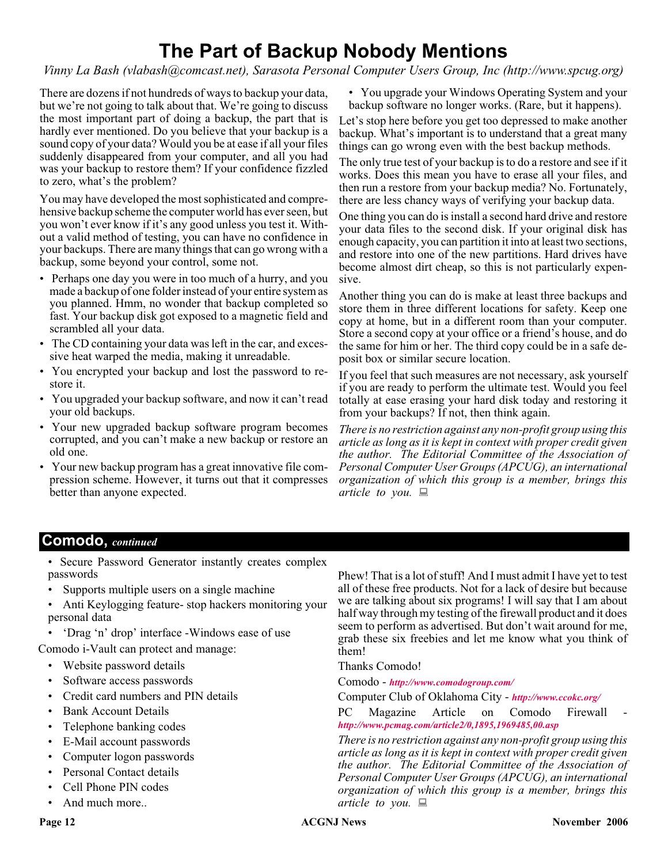# **The Part of Backup Nobody Mentions**

*Vinny La Bash (vlabash@comcast.net), Sarasota Personal Computer Users Group, Inc (http://www.spcug.org)*

There are dozens if not hundreds of ways to backup your data, but we're not going to talk about that. We're going to discuss the most important part of doing a backup, the part that is hardly ever mentioned. Do you believe that your backup is a sound copy of your data? Would you be at ease if all your files suddenly disappeared from your computer, and all you had was your backup to restore them? If your confidence fizzled to zero, what's the problem?

You may have developed the most sophisticated and comprehensive backup scheme the computer world has ever seen, but you won't ever know if it's any good unless you test it. Without a valid method of testing, you can have no confidence in your backups. There are many things that can go wrong with a backup, some beyond your control, some not.

- Perhaps one day you were in too much of a hurry, and you made a backup of one folder instead of your entire system as you planned. Hmm, no wonder that backup completed so fast. Your backup disk got exposed to a magnetic field and scrambled all your data.
- The CD containing your data was left in the car, and excessive heat warped the media, making it unreadable.
- You encrypted your backup and lost the password to restore it.
- You upgraded your backup software, and now it can't read your old backups.
- Your new upgraded backup software program becomes corrupted, and you can't make a new backup or restore an old one.
- Your new backup program has a great innovative file compression scheme. However, it turns out that it compresses better than anyone expected.

• You upgrade your Windows Operating System and your backup software no longer works. (Rare, but it happens).

Let's stop here before you get too depressed to make another backup. What's important is to understand that a great many things can go wrong even with the best backup methods.

The only true test of your backup is to do a restore and see if it works. Does this mean you have to erase all your files, and then run a restore from your backup media? No. Fortunately, there are less chancy ways of verifying your backup data.

One thing you can do is install a second hard drive and restore your data files to the second disk. If your original disk has enough capacity, you can partition it into at least two sections, and restore into one of the new partitions. Hard drives have become almost dirt cheap, so this is not particularly expensive.

Another thing you can do is make at least three backups and store them in three different locations for safety. Keep one copy at home, but in a different room than your computer. Store a second copy at your office or a friend's house, and do the same for him or her. The third copy could be in a safe deposit box or similar secure location.

If you feel that such measures are not necessary, ask yourself if you are ready to perform the ultimate test. Would you feel totally at ease erasing your hard disk today and restoring it from your backups? If not, then think again.

*There is no restriction against any non-profit group using this article as long as it is kept in context with proper credit given the author. The Editorial Committee of the Association of Personal Computer User Groups (APCUG), an international organization of which this group is a member, brings this article to you.*

### **Comodo,** *continued*

- Secure Password Generator instantly creates complex passwords
- Supports multiple users on a single machine
- Anti Keylogging feature- stop hackers monitoring your personal data
- 'Drag 'n' drop' interface -Windows ease of use

Comodo i-Vault can protect and manage:

- Website password details
- Software access passwords
- Credit card numbers and PIN details
- Bank Account Details
- Telephone banking codes
- E-Mail account passwords
- Computer logon passwords
- Personal Contact details
- Cell Phone PIN codes
- And much more..

Phew! That is a lot of stuff! And I must admit I have yet to test all of these free products. Not for a lack of desire but because we are talking about six programs! I will say that I am about half way through my testing of the firewall product and it does seem to perform as advertised. But don't wait around for me, grab these six freebies and let me know what you think of them!

Thanks Comodo!

Comodo - *<http://www.comodogroup.com/>*

Computer Club of Oklahoma City - *<http://www.ccokc.org/>*

PC Magazine Article on Comodo Firewall *<http://www.pcmag.com/article2/0,1895,1969485,00.asp>*

*There is no restriction against any non-profit group using this article as long as it is kept in context with proper credit given the author. The Editorial Committee of the Association of Personal Computer User Groups (APCUG), an international organization of which this group is a member, brings this article to you.*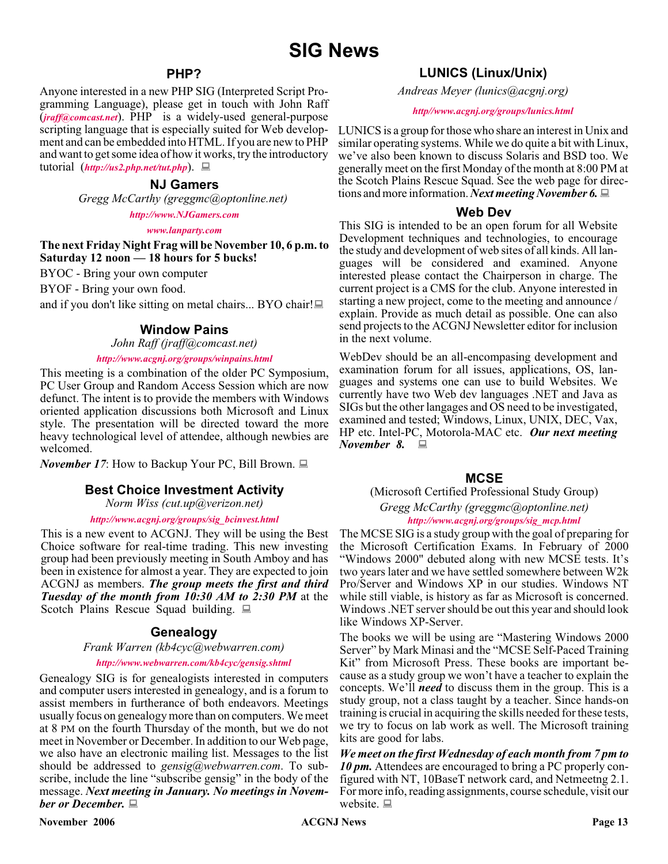#### **PHP?**

Anyone interested in a new PHP SIG (Interpreted Script Programming Language), please get in touch with John Raff (*[jraff@comcast.net](mailto:jraff@comcast.net)*). PHP is a widely-used general-purpose scripting language that is especially suited for Web development and can be embedded into HTML. If you are new to PHP and want to get some idea of how it works, try the introductory tutorial (*<http://us2.php.net/tut.php>*).

#### **NJ Gamers**

*Gregg McCarthy (greggmc@optonline.net)*

#### *<http://www.NJGamers.com>*

*[www.lanparty.com](http://www.lanparty.com)*

**The next Friday Night Frag will be November 10, 6 p.m. to Saturday 12 noon — 18 hours for 5 bucks!**

BYOC - Bring your own computer

BYOF - Bring your own food.

and if you don't like sitting on metal chairs... BYO chair!

#### **Window Pains**

*John Raff (jraff@comcast.net)*

#### *<http://www.acgnj.org/groups/winpains.html>*

This meeting is a combination of the older PC Symposium, PC User Group and Random Access Session which are now defunct. The intent is to provide the members with Windows oriented application discussions both Microsoft and Linux style. The presentation will be directed toward the more heavy technological level of attendee, although newbies are welcomed.

*November 17*: How to Backup Your PC, Bill Brown. ■

#### **Best Choice Investment Activity**

*Norm Wiss (cut.up@verizon.net)*

#### *[http://www.acgnj.org/groups/sig\\_bcinvest.html](http://www.acgnj.org/groups/sig_bcinvest.html)*

This is a new event to ACGNJ. They will be using the Best Choice software for real-time trading. This new investing group had been previously meeting in South Amboy and has been in existence for almost a year. They are expected to join ACGNJ as members. *The group meets the first and third Tuesday of the month from 10:30 AM to 2:30 PM* at the Scotch Plains Rescue Squad building.  $\Box$ 

#### **Genealogy**

#### *Frank Warren (kb4cyc@webwarren.com) <http://www.webwarren.com/kb4cyc/gensig.shtml>*

Genealogy SIG is for genealogists interested in computers and computer users interested in genealogy, and is a forum to assist members in furtherance of both endeavors. Meetings usually focus on genealogy more than on computers. We meet at 8 PM on the fourth Thursday of the month, but we do not meet in November or December. In addition to our Web page, we also have an electronic mailing list. Messages to the list should be addressed to *gensig@webwarren.com*. To subscribe, include the line "subscribe gensig" in the body of the message. *Next meeting in January. No meetings in November or December.*

### **LUNICS (Linux/Unix)**

*Andreas Meyer (lunics@acgnj.org)*

#### *<http//www.acgnj.org/groups/lunics.html>*

LUNICS is a group for those who share an interest in Unix and similar operating systems. While we do quite a bit with Linux, we've also been known to discuss Solaris and BSD too. We generally meet on the first Monday of the month at 8:00 PM at the Scotch Plains Rescue Squad. See the web page for directions and more information. *Next meeting November 6.*

#### **Web Dev**

This SIG is intended to be an open forum for all Website Development techniques and technologies, to encourage the study and development of web sites of all kinds. All languages will be considered and examined. Anyone interested please contact the Chairperson in charge. The current project is a CMS for the club. Anyone interested in starting a new project, come to the meeting and announce / explain. Provide as much detail as possible. One can also send projects to the ACGNJ Newsletter editor for inclusion in the next volume.

WebDev should be an all-encompasing development and examination forum for all issues, applications, OS, languages and systems one can use to build Websites. We currently have two Web dev languages .NET and Java as SIGs but the other langages and OS need to be investigated, examined and tested; Windows, Linux, UNIX, DEC, Vax, HP etc. Intel-PC, Motorola-MAC etc. *Our next meeting November 8.*

#### **MCSE**

(Microsoft Certified Professional Study Group)

*Gregg McCarthy (greggmc@optonline.net) [http://www.acgnj.org/groups/sig\\_mcp.html](http://www.acgnj.org/groups/sig_mcp.html)*

The MCSE SIG is a study group with the goal of preparing for the Microsoft Certification Exams. In February of 2000 "Windows 2000" debuted along with new MCSE tests. It's two years later and we have settled somewhere between W2k Pro/Server and Windows XP in our studies. Windows NT while still viable, is history as far as Microsoft is concerned. Windows .NET server should be out this year and should look like Windows XP-Server.

The books we will be using are "Mastering Windows 2000 Server" by Mark Minasi and the "MCSE Self-Paced Training Kit" from Microsoft Press. These books are important because as a study group we won't have a teacher to explain the concepts. We'll *need* to discuss them in the group. This is a study group, not a class taught by a teacher. Since hands-on training is crucial in acquiring the skills needed for these tests, we try to focus on lab work as well. The Microsoft training kits are good for labs.

*We meet on the first Wednesday of each month from 7 pm to 10 pm.* Attendees are encouraged to bring a PC properly configured with NT, 10BaseT network card, and Netmeetng 2.1. For more info, reading assignments, course schedule, visit our website.  $\Box$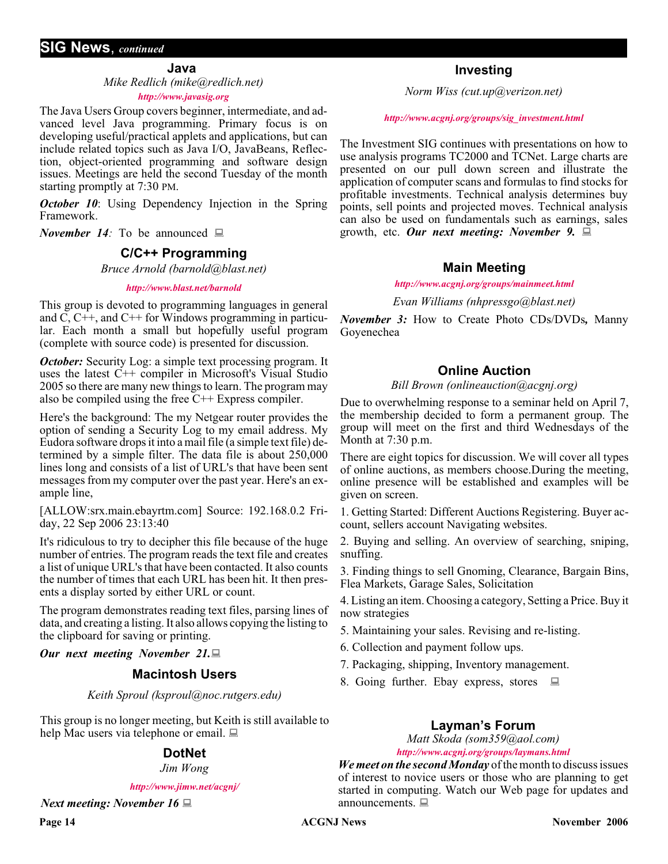**Java**

*Mike Redlich (mike@redlich.net) <http://www.javasig.org>*

The Java Users Group covers beginner, intermediate, and advanced level Java programming. Primary focus is on developing useful/practical applets and applications, but can include related topics such as Java I/O, JavaBeans, Reflection, object-oriented programming and software design issues. Meetings are held the second Tuesday of the month starting promptly at 7:30 PM.

*October 10*: Using Dependency Injection in the Spring Framework.

*November 14:* To be announced  $\Box$ 

#### **C/C++ Programming**

*Bruce Arnold (barnold@blast.net)*

#### *<http://www.blast.net/barnold>*

This group is devoted to programming languages in general and C, C++, and C++ for Windows programming in particular. Each month a small but hopefully useful program (complete with source code) is presented for discussion.

*October:* Security Log: a simple text processing program. It uses the latest C++ compiler in Microsoft's Visual Studio 2005 so there are many new things to learn. The program may also be compiled using the free C++ Express compiler.

Here's the background: The my Netgear router provides the option of sending a Security Log to my email address. My Eudora software drops it into a mail file (a simple text file) determined by a simple filter. The data file is about 250,000 lines long and consists of a list of URL's that have been sent messages from my computer over the past year. Here's an example line,

[ALLOW:srx.main.ebayrtm.com] Source: 192.168.0.2 Friday, 22 Sep 2006 23:13:40

It's ridiculous to try to decipher this file because of the huge number of entries. The program reads the text file and creates a list of unique URL's that have been contacted. It also counts the number of times that each URL has been hit. It then presents a display sorted by either URL or count.

The program demonstrates reading text files, parsing lines of data, and creating a listing. It also allows copying the listing to the clipboard for saving or printing.

*Our next meeting November 21.*

#### **Macintosh Users**

*Keith Sproul (ksproul@noc.rutgers.edu)*

This group is no longer meeting, but Keith is still available to help Mac users via telephone or email.

#### **DotNet**

*Jim Wong*

*<http://www.jimw.net/acgnj/>*

*Next meeting: November 16*

#### **Investing**

*Norm Wiss (cut.up@verizon.net)*

#### *[http://www.acgnj.org/groups/sig\\_investment.html](http://www.acgnj.org/groups/sig_investment.html)*

The Investment SIG continues with presentations on how to use analysis programs TC2000 and TCNet. Large charts are presented on our pull down screen and illustrate the application of computer scans and formulas to find stocks for profitable investments. Technical analysis determines buy points, sell points and projected moves. Technical analysis can also be used on fundamentals such as earnings, sales growth, etc. *Our next meeting: November 9.*

#### **Main Meeting**

*<http://www.acgnj.org/groups/mainmeet.html>*

*Evan Williams (nhpressgo@blast.net)*

*November 3:* How to Create Photo CDs/DVDs*,* Manny Goyenechea

#### **Online Auction**

*Bill Brown (onlineauction@acgnj.org)*

Due to overwhelming response to a seminar held on April 7, the membership decided to form a permanent group. The group will meet on the first and third Wednesdays of the Month at 7:30 p.m.

There are eight topics for discussion. We will cover all types of online auctions, as members choose.During the meeting, online presence will be established and examples will be given on screen.

1. Getting Started: Different Auctions Registering. Buyer account, sellers account Navigating websites.

2. Buying and selling. An overview of searching, sniping, snuffing.

3. Finding things to sell Gnoming, Clearance, Bargain Bins, Flea Markets, Garage Sales, Solicitation

4. Listing an item. Choosing a category, Setting a Price. Buy it now strategies

- 5. Maintaining your sales. Revising and re-listing.
- 6. Collection and payment follow ups.
- 7. Packaging, shipping, Inventory management.
- 8. Going further. Ebay express, stores  $\Box$

### **Layman's Forum**

*Matt Skoda (som359@aol.com) <http://www.acgnj.org/groups/laymans.html>*

*We meet on the second Monday* of the month to discuss issues of interest to novice users or those who are planning to get started in computing. Watch our Web page for updates and announcements. <sub>■</sub>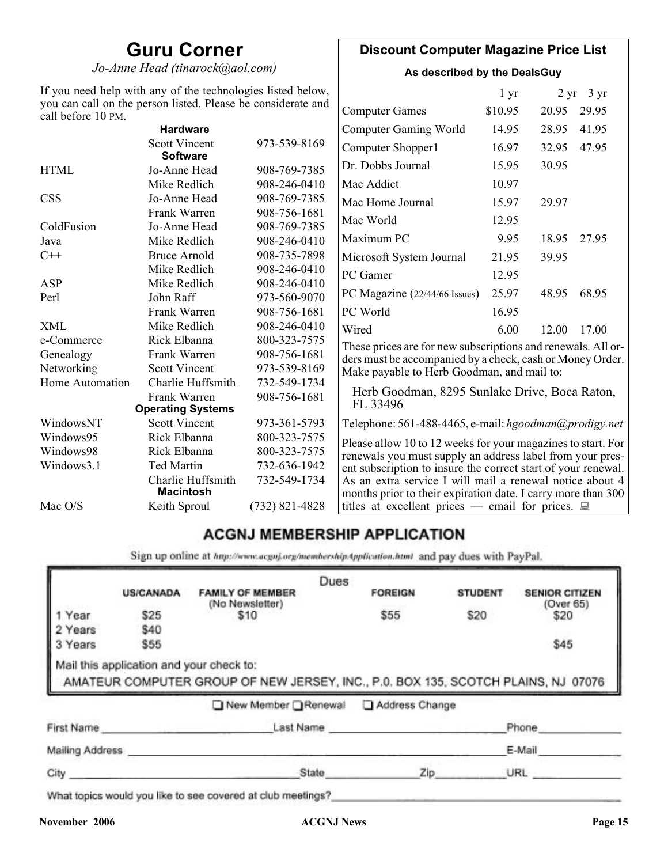# **Guru Corner**

*Jo-Anne Head (tinarock@aol.com)*

### **Discount Computer Magazine Price List**

**As described by the DealsGuy**

| If you need help with any of the technologies listed below,<br>you can call on the person listed. Please be considerate and<br>call before 10 PM. |                                         |                  |                                                                                                                          | $1 \, yr$ |       | $2 \text{ yr}$ 3 yr |
|---------------------------------------------------------------------------------------------------------------------------------------------------|-----------------------------------------|------------------|--------------------------------------------------------------------------------------------------------------------------|-----------|-------|---------------------|
|                                                                                                                                                   |                                         |                  | <b>Computer Games</b>                                                                                                    | \$10.95   | 20.95 | 29.95               |
|                                                                                                                                                   | <b>Hardware</b>                         |                  | <b>Computer Gaming World</b>                                                                                             | 14.95     | 28.95 | 41.95               |
|                                                                                                                                                   | <b>Scott Vincent</b><br><b>Software</b> | 973-539-8169     | Computer Shopper1                                                                                                        | 16.97     | 32.95 | 47.95               |
| <b>HTML</b>                                                                                                                                       | Jo-Anne Head                            | 908-769-7385     | Dr. Dobbs Journal                                                                                                        | 15.95     | 30.95 |                     |
|                                                                                                                                                   | Mike Redlich                            | 908-246-0410     | Mac Addict                                                                                                               | 10.97     |       |                     |
| <b>CSS</b>                                                                                                                                        | Jo-Anne Head                            | 908-769-7385     | Mac Home Journal                                                                                                         | 15.97     | 29.97 |                     |
|                                                                                                                                                   | Frank Warren                            | 908-756-1681     | Mac World                                                                                                                | 12.95     |       |                     |
| ColdFusion                                                                                                                                        | Jo-Anne Head                            | 908-769-7385     |                                                                                                                          |           |       |                     |
| Java                                                                                                                                              | Mike Redlich                            | 908-246-0410     | Maximum PC                                                                                                               | 9.95      | 18.95 | 27.95               |
| $C++$                                                                                                                                             | <b>Bruce Arnold</b>                     | 908-735-7898     | Microsoft System Journal                                                                                                 | 21.95     | 39.95 |                     |
|                                                                                                                                                   | Mike Redlich                            | 908-246-0410     | PC Gamer                                                                                                                 | 12.95     |       |                     |
| <b>ASP</b>                                                                                                                                        | Mike Redlich                            | 908-246-0410     |                                                                                                                          |           |       |                     |
| Perl                                                                                                                                              | John Raff                               | 973-560-9070     | PC Magazine (22/44/66 Issues)                                                                                            | 25.97     | 48.95 | 68.95               |
|                                                                                                                                                   | Frank Warren                            | 908-756-1681     | PC World                                                                                                                 | 16.95     |       |                     |
| <b>XML</b>                                                                                                                                        | Mike Redlich                            | 908-246-0410     | Wired                                                                                                                    | 6.00      | 12.00 | 17.00               |
| e-Commerce                                                                                                                                        | Rick Elbanna                            | 800-323-7575     | These prices are for new subscriptions and renewals. All or-                                                             |           |       |                     |
| Genealogy                                                                                                                                         | Frank Warren                            | 908-756-1681     | ders must be accompanied by a check, cash or Money Order.                                                                |           |       |                     |
| Networking                                                                                                                                        | <b>Scott Vincent</b>                    | 973-539-8169     | Make payable to Herb Goodman, and mail to:                                                                               |           |       |                     |
| Home Automation                                                                                                                                   | Charlie Huffsmith                       | 732-549-1734     |                                                                                                                          |           |       |                     |
|                                                                                                                                                   | Frank Warren                            | 908-756-1681     | Herb Goodman, 8295 Sunlake Drive, Boca Raton,                                                                            |           |       |                     |
|                                                                                                                                                   | <b>Operating Systems</b>                |                  | FL 33496                                                                                                                 |           |       |                     |
| WindowsNT                                                                                                                                         | <b>Scott Vincent</b>                    | 973-361-5793     | Telephone: 561-488-4465, e-mail: hgoodman@prodigy.net                                                                    |           |       |                     |
| Windows95                                                                                                                                         | Rick Elbanna                            | 800-323-7575     | Please allow 10 to 12 weeks for your magazines to start. For                                                             |           |       |                     |
| Windows98                                                                                                                                         | Rick Elbanna                            | 800-323-7575     | renewals you must supply an address label from your pres-                                                                |           |       |                     |
| Windows3.1                                                                                                                                        | <b>Ted Martin</b>                       | 732-636-1942     | ent subscription to insure the correct start of your renewal.                                                            |           |       |                     |
|                                                                                                                                                   | Charlie Huffsmith<br><b>Macintosh</b>   | 732-549-1734     | As an extra service I will mail a renewal notice about 4<br>months prior to their expiration date. I carry more than 300 |           |       |                     |
| Mac O/S                                                                                                                                           | Keith Sproul                            | $(732)$ 821-4828 | titles at excellent prices — email for prices. $\Box$                                                                    |           |       |                     |

## **ACGNJ MEMBERSHIP APPLICATION**

Sign up online at http://www.acguj.org/membershipApplication.html and pay dues with PayPal.

|                 |                                          |                                                                                   | Dues      |                |                |                       |
|-----------------|------------------------------------------|-----------------------------------------------------------------------------------|-----------|----------------|----------------|-----------------------|
|                 | <b>US/CANADA</b>                         | <b>FAMILY OF MEMBER</b>                                                           |           | <b>FOREIGN</b> | <b>STUDENT</b> | <b>SENIOR CITIZEN</b> |
| 1 Year          | \$25                                     | (No Newsletter)<br>\$10                                                           |           | \$55           | \$20           | (Over 65)<br>\$20     |
| 2 Years         | \$40                                     |                                                                                   |           |                |                |                       |
| 3 Years         | \$55                                     |                                                                                   |           |                |                | \$45                  |
|                 | Mail this application and your check to: | AMATEUR COMPUTER GROUP OF NEW JERSEY, INC., P.0. BOX 135, SCOTCH PLAINS, NJ 07076 |           |                |                |                       |
|                 |                                          | ■ New Member Renewal                                                              |           | Address Change |                |                       |
| First Name      |                                          |                                                                                   | Last Name |                |                | Phone                 |
| Mailing Address |                                          |                                                                                   |           |                |                | E-Mail                |

**November 2006 ACGNJ News Page 15**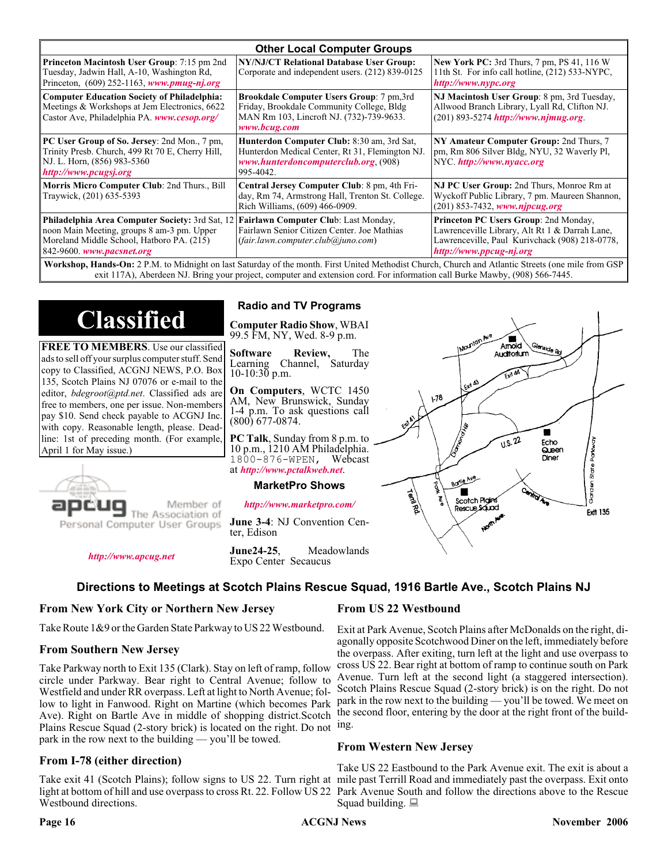| <b>Other Local Computer Groups</b>                                                                                                                                             |                                                                                                                                                    |                                                                                                                                                                      |  |  |  |
|--------------------------------------------------------------------------------------------------------------------------------------------------------------------------------|----------------------------------------------------------------------------------------------------------------------------------------------------|----------------------------------------------------------------------------------------------------------------------------------------------------------------------|--|--|--|
| <b>Princeton Macintosh User Group:</b> 7:15 pm 2nd<br>Tuesday, Jadwin Hall, A-10, Washington Rd,<br>Princeton, $(609)$ 252-1163, www.pmug-nj.org                               | NY/NJ/CT Relational Database User Group:<br>Corporate and independent users. (212) 839-0125                                                        | <b>New York PC:</b> 3rd Thurs, 7 pm, PS 41, 116 W<br>11th St. For info call hotline, (212) 533-NYPC,<br>http://www.nypc.org                                          |  |  |  |
| <b>Computer Education Society of Philadelphia:</b><br>Meetings & Workshops at Jem Electronics, 6622<br>Castor Ave, Philadelphia PA. www.cesop.org/                             | Brookdale Computer Users Group: 7 pm,3rd<br>Friday, Brookdale Community College, Bldg<br>MAN Rm 103, Lincroft NJ. (732)-739-9633.<br>www.bcug.com  | NJ Macintosh User Group: 8 pm, 3rd Tuesday,<br>Allwood Branch Library, Lyall Rd, Clifton NJ.<br>$(201)$ 893-5274 http://www.njmug.org.                               |  |  |  |
| PC User Group of So. Jersey: 2nd Mon., 7 pm,<br>Trinity Presb. Church, 499 Rt 70 E, Cherry Hill,<br>NJ. L. Horn, (856) 983-5360<br>http://www.pcugsj.org                       | Hunterdon Computer Club: 8:30 am, 3rd Sat,<br>Hunterdon Medical Center, Rt 31, Flemington NJ.<br>www.hunterdoncomputerclub.org. (908)<br>995-4042. | NY Amateur Computer Group: 2nd Thurs, 7<br>pm, Rm 806 Silver Bldg, NYU, 32 Waverly Pl,<br>NYC http://www.nyacc.org                                                   |  |  |  |
| Morris Micro Computer Club: 2nd Thurs., Bill<br>Traywick, (201) 635-5393                                                                                                       | Central Jersey Computer Club: 8 pm, 4th Fri-<br>day, Rm 74, Armstrong Hall, Trenton St. College.<br>Rich Williams, (609) 466-0909.                 | NJ PC User Group: 2nd Thurs, Monroe Rm at<br>Wyckoff Public Library, 7 pm. Maureen Shannon,<br>(201) 853-7432, www.njpcug.org                                        |  |  |  |
| <b>Philadelphia Area Computer Society: 3rd Sat, 12</b><br>noon Main Meeting, groups 8 am-3 pm. Upper<br>Moreland Middle School, Hatboro PA. (215)<br>842-9600. www.pacsnet.org | Fairlawn Computer Club: Last Monday,<br>Fairlawn Senior Citizen Center. Joe Mathias<br>(fair.lawn.computer. club@juno.com)                         | Princeton PC Users Group: 2nd Monday,<br>Lawrenceville Library, Alt Rt 1 & Darrah Lane,<br>Lawrenceville, Paul Kurivchack (908) 218-0778,<br>http://www.ppcug-nj.org |  |  |  |
| Workshop Hands-On: 2 PM to Midnight on last Saturday of the month First United Methodist Church Church and Atlantic Streets (one mile from GSP)                                |                                                                                                                                                    |                                                                                                                                                                      |  |  |  |

**Workshop, Hands-On:** 2 P.M. to Midnight on last Saturday of the month. First United Methodist Church, Church and Atlantic Streets (one mile from GSP exit 117A), Aberdeen NJ. Bring your project, computer and extension cord. For information call Burke Mawby, (908) 566-7445.

# **Classified**

**FREE TO MEMBERS**. Use our classified ads to sell off your surplus computer stuff. Send copy to Classified, ACGNJ NEWS, P.O. Box 135, Scotch Plains NJ 07076 or e-mail to the editor, *bdegroot@ptd.net*. Classified ads are free to members, one per issue. Non-members pay \$10. Send check payable to ACGNJ Inc. with copy. Reasonable length, please. Deadline: 1st of preceding month. (For example, April 1 for May issue.)



Member of

Personal Computer User Groups

*<http://www.apcug.net>*

#### **Radio and TV Programs**

**Computer Radio Show**, WBAI 99.5 FM, NY, Wed. 8-9 p.m.

**Software Review,** The Channel, Saturday  $10-10:30$  p.m.

**On Computers**, WCTC 1450 AM, New Brunswick, Sunday 1-4 p.m. To ask questions call (800) 677-0874.

**PC Talk**, Sunday from 8 p.m. to 10 p.m., 1210 AM Philadelphia. 1800-876-WPEN, Webcast at *<http://www.pctalkweb.net>*.

#### **MarketPro Shows**

*<http://www.marketpro.com/>*

**June 3-4**: NJ Convention Center, Edison

**June24-25**, Meadowlands Expo Center Secaucus

Auditorium  $178$ ш  $\sqrt{1.5.22}$ Echo Garden State Park Queen Diner Borle Ave Territors Scotch Pigins Rescue Sound **Ext1 135** 

Amold

#### **Directions to Meetings at Scotch Plains Rescue Squad, 1916 Bartle Ave., Scotch Plains NJ**

#### **From New York City or Northern New Jersey**

Take Route 1&9 or the Garden State Parkway to US 22 Westbound.

#### **From Southern New Jersey**

Take Parkway north to Exit 135 (Clark). Stay on left of ramp, follow circle under Parkway. Bear right to Central Avenue; follow to Westfield and under RR overpass. Left at light to North Avenue; follow to light in Fanwood. Right on Martine (which becomes Park Ave). Right on Bartle Ave in middle of shopping district.Scotch Plains Rescue Squad (2-story brick) is located on the right. Do not ing. park in the row next to the building — you'll be towed.

#### **From I-78 (either direction)**

Take exit 41 (Scotch Plains); follow signs to US 22. Turn right at mile past Terrill Road and immediately past the overpass. Exit onto light at bottom of hill and use overpass to cross Rt. 22. Follow US 22 Park Avenue South and follow the directions above to the Rescue Westbound directions.

#### **From US 22 Westbound**

Exit at Park Avenue, Scotch Plains after McDonalds on the right, diagonally opposite Scotchwood Diner on the left, immediately before the overpass. After exiting, turn left at the light and use overpass to cross US 22. Bear right at bottom of ramp to continue south on Park Avenue. Turn left at the second light (a staggered intersection). Scotch Plains Rescue Squad (2-story brick) is on the right. Do not park in the row next to the building — you'll be towed. We meet on the second floor, entering by the door at the right front of the build-

#### **From Western New Jersey**

Take US 22 Eastbound to the Park Avenue exit. The exit is about a Squad building.  $\Box$